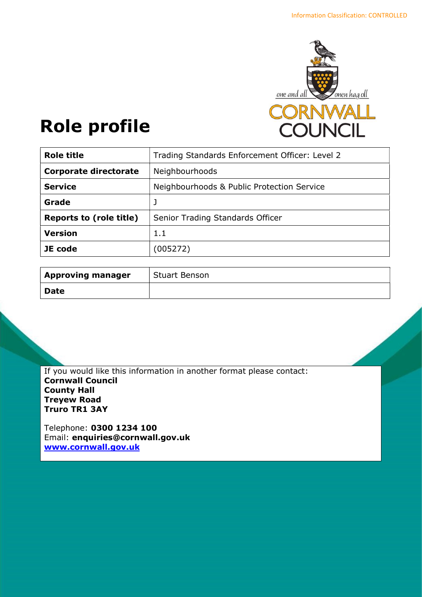

# Role profile

| <b>Role title</b>              | Trading Standards Enforcement Officer: Level 2 |
|--------------------------------|------------------------------------------------|
| <b>Corporate directorate</b>   | Neighbourhoods                                 |
| <b>Service</b>                 | Neighbourhoods & Public Protection Service     |
| Grade                          |                                                |
| <b>Reports to (role title)</b> | Senior Trading Standards Officer               |
| <b>Version</b>                 | 1.1                                            |
| JE code                        | (005272)                                       |
|                                |                                                |

| <b>Approving manager</b> | <b>Stuart Benson</b> |
|--------------------------|----------------------|
| <b>Date</b>              |                      |

If you would like this information in another format please contact: Cornwall Council County Hall Treyew Road Truro TR1 3AY

Telephone: 0300 1234 100 Email: enquiries@cornwall.gov.uk www.cornwall.gov.uk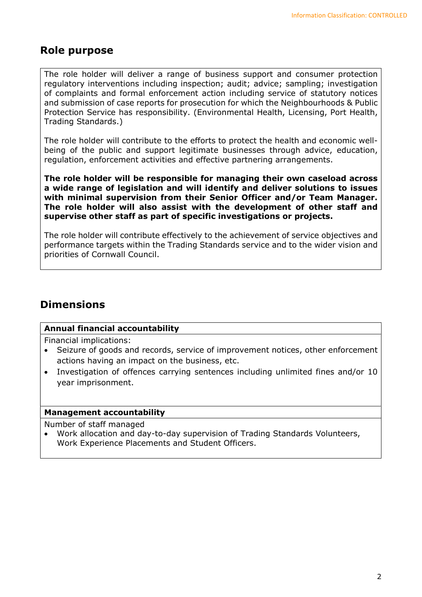# Role purpose

The role holder will deliver a range of business support and consumer protection regulatory interventions including inspection; audit; advice; sampling; investigation of complaints and formal enforcement action including service of statutory notices and submission of case reports for prosecution for which the Neighbourhoods & Public Protection Service has responsibility. (Environmental Health, Licensing, Port Health, Trading Standards.)

The role holder will contribute to the efforts to protect the health and economic wellbeing of the public and support legitimate businesses through advice, education, regulation, enforcement activities and effective partnering arrangements.

The role holder will be responsible for managing their own caseload across a wide range of legislation and will identify and deliver solutions to issues with minimal supervision from their Senior Officer and/or Team Manager. The role holder will also assist with the development of other staff and supervise other staff as part of specific investigations or projects.

The role holder will contribute effectively to the achievement of service objectives and performance targets within the Trading Standards service and to the wider vision and priorities of Cornwall Council.

# **Dimensions**

## Annual financial accountability

Financial implications:

- Seizure of goods and records, service of improvement notices, other enforcement actions having an impact on the business, etc.
- Investigation of offences carrying sentences including unlimited fines and/or 10 year imprisonment.

## Management accountability

Number of staff managed

 Work allocation and day-to-day supervision of Trading Standards Volunteers, Work Experience Placements and Student Officers.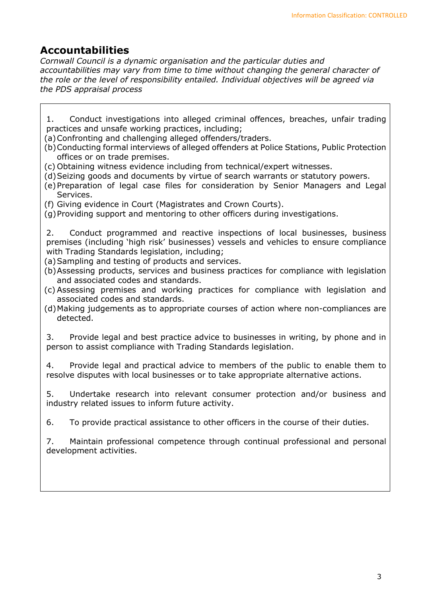# Accountabilities

Cornwall Council is a dynamic organisation and the particular duties and accountabilities may vary from time to time without changing the general character of the role or the level of responsibility entailed. Individual objectives will be agreed via the PDS appraisal process

1. Conduct investigations into alleged criminal offences, breaches, unfair trading practices and unsafe working practices, including;

(a)Confronting and challenging alleged offenders/traders.

- (b)Conducting formal interviews of alleged offenders at Police Stations, Public Protection offices or on trade premises.
- (c) Obtaining witness evidence including from technical/expert witnesses.
- (d)Seizing goods and documents by virtue of search warrants or statutory powers.
- (e)Preparation of legal case files for consideration by Senior Managers and Legal Services.
- (f) Giving evidence in Court (Magistrates and Crown Courts).

(g)Providing support and mentoring to other officers during investigations.

2. Conduct programmed and reactive inspections of local businesses, business premises (including 'high risk' businesses) vessels and vehicles to ensure compliance with Trading Standards legislation, including;

(a)Sampling and testing of products and services.

- (b)Assessing products, services and business practices for compliance with legislation and associated codes and standards.
- (c) Assessing premises and working practices for compliance with legislation and associated codes and standards.
- (d)Making judgements as to appropriate courses of action where non-compliances are detected.

3. Provide legal and best practice advice to businesses in writing, by phone and in person to assist compliance with Trading Standards legislation.

4. Provide legal and practical advice to members of the public to enable them to resolve disputes with local businesses or to take appropriate alternative actions.

5. Undertake research into relevant consumer protection and/or business and industry related issues to inform future activity.

6. To provide practical assistance to other officers in the course of their duties.

7. Maintain professional competence through continual professional and personal development activities.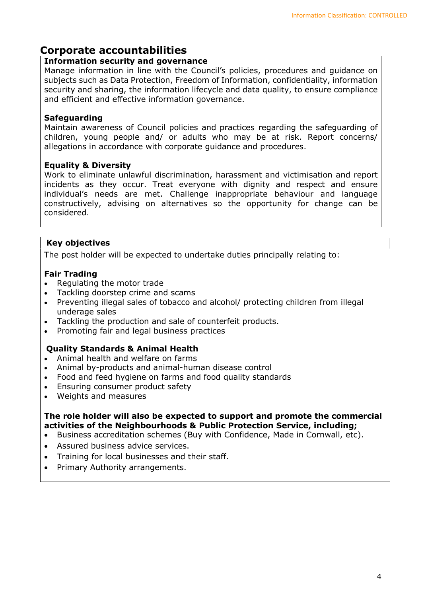# Corporate accountabilities

## Information security and governance

Manage information in line with the Council's policies, procedures and guidance on subjects such as Data Protection, Freedom of Information, confidentiality, information security and sharing, the information lifecycle and data quality, to ensure compliance and efficient and effective information governance.

# **Safeguarding**

Maintain awareness of Council policies and practices regarding the safeguarding of children, young people and/ or adults who may be at risk. Report concerns/ allegations in accordance with corporate guidance and procedures.

## Equality & Diversity

Work to eliminate unlawful discrimination, harassment and victimisation and report incidents as they occur. Treat everyone with dignity and respect and ensure individual's needs are met. Challenge inappropriate behaviour and language constructively, advising on alternatives so the opportunity for change can be considered.

# Key objectives

The post holder will be expected to undertake duties principally relating to:

## Fair Trading

- Regulating the motor trade
- Tackling doorstep crime and scams
- Preventing illegal sales of tobacco and alcohol/ protecting children from illegal underage sales
- Tackling the production and sale of counterfeit products.
- Promoting fair and legal business practices

## Quality Standards & Animal Health

- Animal health and welfare on farms
- Animal by-products and animal-human disease control
- Food and feed hygiene on farms and food quality standards
- Ensuring consumer product safety
- Weights and measures

#### The role holder will also be expected to support and promote the commercial activities of the Neighbourhoods & Public Protection Service, including;

- Business accreditation schemes (Buy with Confidence, Made in Cornwall, etc).
- Assured business advice services.
- Training for local businesses and their staff.
- Primary Authority arrangements.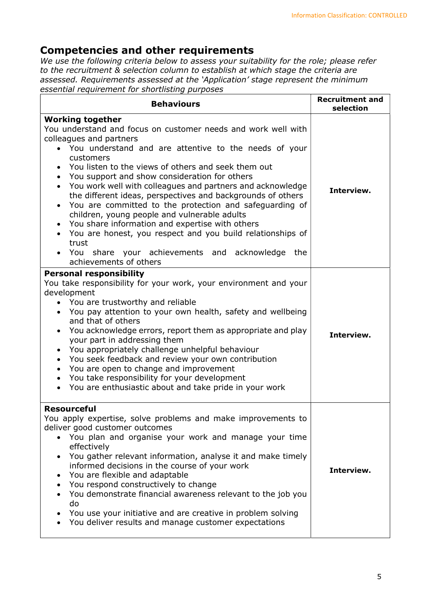# Competencies and other requirements

We use the following criteria below to assess your suitability for the role; please refer to the recruitment & selection column to establish at which stage the criteria are assessed. Requirements assessed at the 'Application' stage represent the minimum essential requirement for shortlisting purposes

| <b>Behaviours</b>                                                                                                                                                                                                                                                                                                                                                                                                                                                                                                                                                                                                                                                                                                                                                               | <b>Recruitment and</b><br>selection |
|---------------------------------------------------------------------------------------------------------------------------------------------------------------------------------------------------------------------------------------------------------------------------------------------------------------------------------------------------------------------------------------------------------------------------------------------------------------------------------------------------------------------------------------------------------------------------------------------------------------------------------------------------------------------------------------------------------------------------------------------------------------------------------|-------------------------------------|
| <b>Working together</b><br>You understand and focus on customer needs and work well with<br>colleagues and partners<br>• You understand and are attentive to the needs of your<br>customers<br>You listen to the views of others and seek them out<br>You support and show consideration for others<br>You work well with colleagues and partners and acknowledge<br>the different ideas, perspectives and backgrounds of others<br>You are committed to the protection and safeguarding of<br>children, young people and vulnerable adults<br>You share information and expertise with others<br>$\bullet$<br>You are honest, you respect and you build relationships of<br>$\bullet$<br>trust<br>You share your achievements and acknowledge<br>the<br>achievements of others | Interview.                          |
| <b>Personal responsibility</b><br>You take responsibility for your work, your environment and your<br>development<br>• You are trustworthy and reliable<br>• You pay attention to your own health, safety and wellbeing<br>and that of others<br>You acknowledge errors, report them as appropriate and play<br>$\bullet$<br>your part in addressing them<br>You appropriately challenge unhelpful behaviour<br>You seek feedback and review your own contribution<br>$\bullet$<br>You are open to change and improvement<br>You take responsibility for your development<br>You are enthusiastic about and take pride in your work                                                                                                                                             | Interview.                          |
| <b>Resourceful</b><br>You apply expertise, solve problems and make improvements to<br>deliver good customer outcomes<br>• You plan and organise your work and manage your time<br>effectively<br>You gather relevant information, analyse it and make timely<br>informed decisions in the course of your work<br>You are flexible and adaptable<br>$\bullet$<br>You respond constructively to change<br>You demonstrate financial awareness relevant to the job you<br>do<br>You use your initiative and are creative in problem solving<br>You deliver results and manage customer expectations                                                                                                                                                                                | Interview.                          |